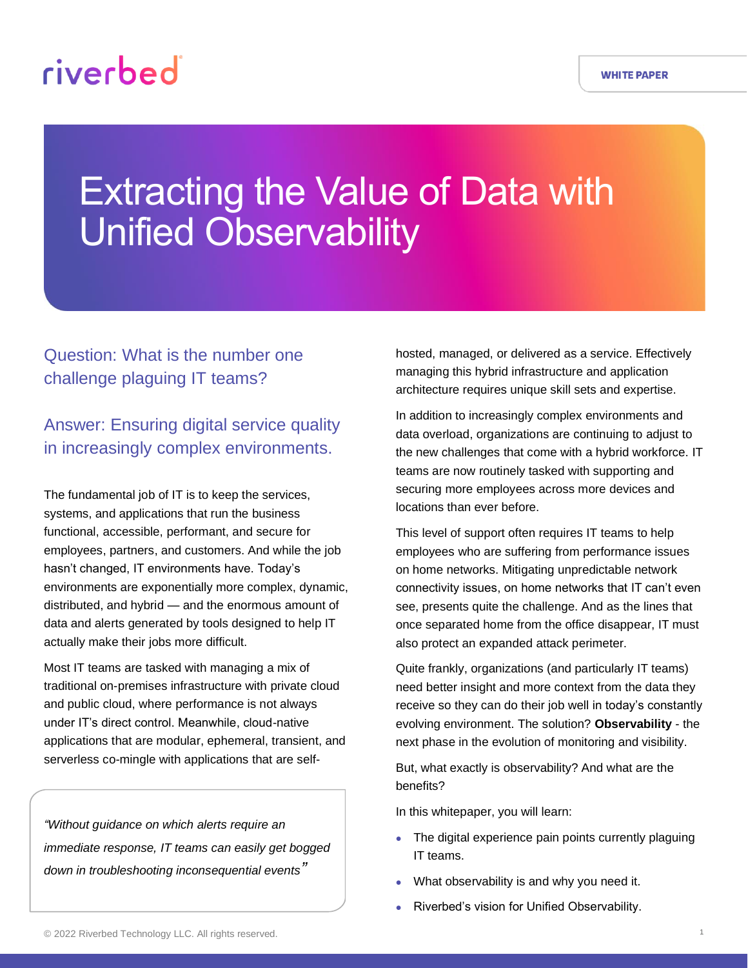# Extracting the Value of Data with Unified Observability

## Question: What is the number one challenge plaguing IT teams?

## Answer: Ensuring digital service quality in increasingly complex environments.

The fundamental job of IT is to keep the services, systems, and applications that run the business functional, accessible, performant, and secure for employees, partners, and customers. And while the job hasn't changed, IT environments have. Today's environments are exponentially more complex, dynamic, distributed, and hybrid — and the enormous amount of data and alerts generated by tools designed to help IT actually make their jobs more difficult.

Most IT teams are tasked with managing a mix of traditional on-premises infrastructure with private cloud and public cloud, where performance is not always under IT's direct control. Meanwhile, cloud-native applications that are modular, ephemeral, transient, and serverless co-mingle with applications that are self-

*"Without guidance on which alerts require an immediate response, IT teams can easily get bogged down in troubleshooting inconsequential events"*

hosted, managed, or delivered as a service. Effectively managing this hybrid infrastructure and application architecture requires unique skill sets and expertise.

In addition to increasingly complex environments and data overload, organizations are continuing to adjust to the new challenges that come with a hybrid workforce. IT teams are now routinely tasked with supporting and securing more employees across more devices and locations than ever before.

This level of support often requires IT teams to help employees who are suffering from performance issues on home networks. Mitigating unpredictable network connectivity issues, on home networks that IT can't even see, presents quite the challenge. And as the lines that once separated home from the office disappear, IT must also protect an expanded attack perimeter.

Quite frankly, organizations (and particularly IT teams) need better insight and more context from the data they receive so they can do their job well in today's constantly evolving environment. The solution? **Observability** - the next phase in the evolution of monitoring and visibility.

But, what exactly is observability? And what are the benefits?

In this whitepaper, you will learn:

- The digital experience pain points currently plaguing IT teams.
- What observability is and why you need it.
- Riverbed's vision for Unified Observability.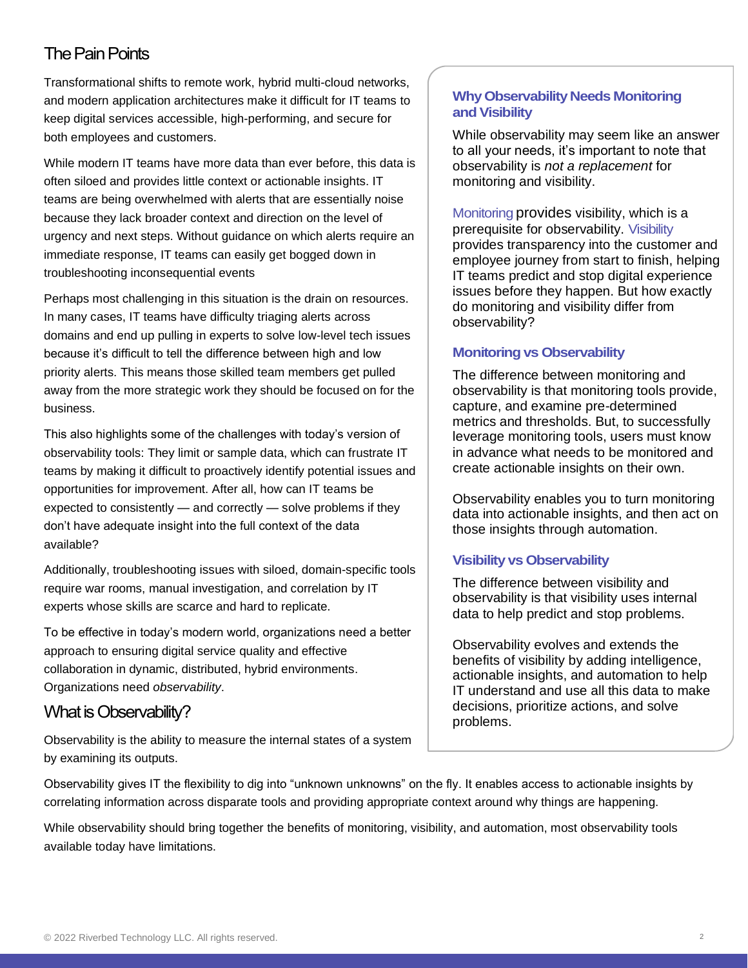## The Pain Points

Transformational shifts to remote work, hybrid multi-cloud networks, and modern application architectures make it difficult for IT teams to keep digital services accessible, high-performing, and secure for both employees and customers.

While modern IT teams have more data than ever before, this data is often siloed and provides little context or actionable insights. IT teams are being overwhelmed with alerts that are essentially noise because they lack broader context and direction on the level of urgency and next steps. Without guidance on which alerts require an immediate response, IT teams can easily get bogged down in troubleshooting inconsequential events

Perhaps most challenging in this situation is the drain on resources. In many cases, IT teams have difficulty triaging alerts across domains and end up pulling in experts to solve low-level tech issues because it's difficult to tell the difference between high and low priority alerts. This means those skilled team members get pulled away from the more strategic work they should be focused on for the business.

This also highlights some of the challenges with today's version of observability tools: They limit or sample data, which can frustrate IT teams by making it difficult to proactively identify potential issues and opportunities for improvement. After all, how can IT teams be expected to consistently — and correctly — solve problems if they don't have adequate insight into the full context of the data available?

Additionally, troubleshooting issues with siloed, domain-specific tools require war rooms, manual investigation, and correlation by IT experts whose skills are scarce and hard to replicate.

To be effective in today's modern world, organizations need a better approach to ensuring digital service quality and effective collaboration in dynamic, distributed, hybrid environments. Organizations need *observability*.

## What is Observability?

Observability is the ability to measure the internal states of a system by examining its outputs.

#### **Why Observability Needs Monitoring and Visibility**

While observability may seem like an answer to all your needs, it's important to note that observability is *not a replacement* for monitoring and visibility.

[Monitoring](https://www.riverbed.com/forms/ebooks/network-monitoring-and-troubleshooting-for-dummies-DOC.html) provides visibility, which is a prerequisite for observability. [Visibility](https://www.riverbed.com/sites/default/files/file/2022-01/deliver-visibility-network-issues-unified-npdem-uspubsec.pdf) provides transparency into the customer and employee journey from start to finish, helping IT teams predict and stop digital experience issues before they happen. But how exactly do monitoring and visibility differ from observability?

#### **Monitoring vs Observability**

The difference between monitoring and observability is that monitoring tools provide, capture, and examine pre-determined metrics and thresholds. But, to successfully leverage monitoring tools, users must know in advance what needs to be monitored and create actionable insights on their own.

Observability enables you to turn monitoring data into actionable insights, and then act on those insights through automation.

#### **Visibility vs Observability**

The difference between visibility and observability is that visibility uses internal data to help predict and stop problems.

Observability evolves and extends the benefits of visibility by adding intelligence, actionable insights, and automation to help IT understand and use all this data to make decisions, prioritize actions, and solve problems.

Observability gives IT the flexibility to dig into "unknown unknowns" on the fly. It enables access to actionable insights by correlating information across disparate tools and providing appropriate context around why things are happening.

While observability should bring together the benefits of monitoring, visibility, and automation, most observability tools available today have limitations.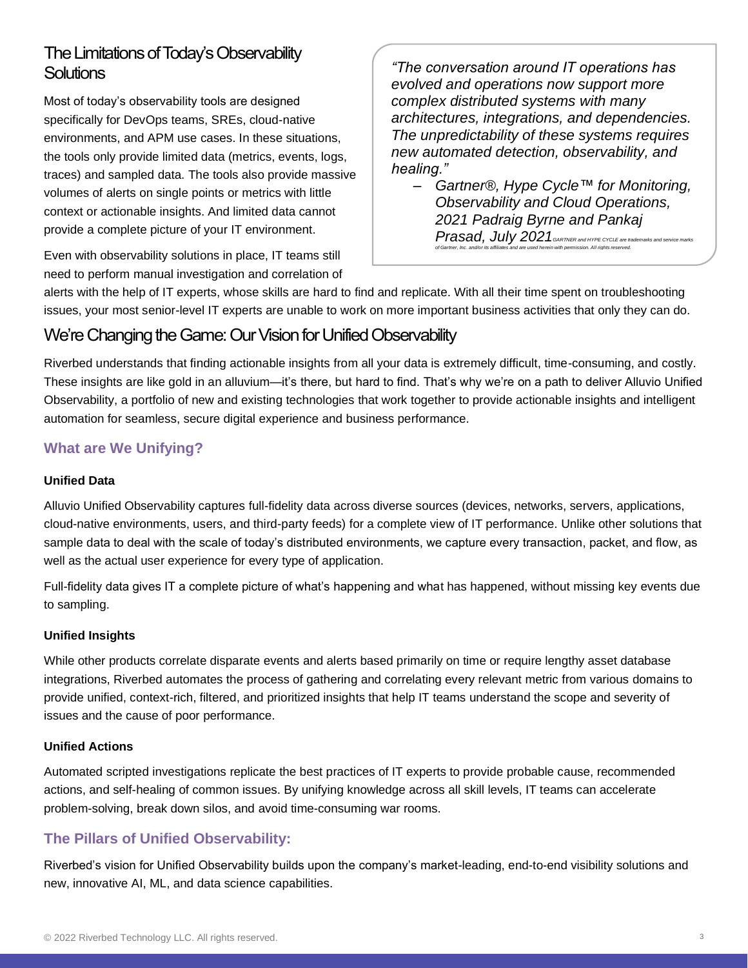## The Limitations of Today's Observability **Solutions**

Most of today's observability tools are designed specifically for DevOps teams, SREs, cloud-native environments, and APM use cases. In these situations, the tools only provide limited data (metrics, events, logs, traces) and sampled data. The tools also provide massive volumes of alerts on single points or metrics with little context or actionable insights. And limited data cannot provide a complete picture of your IT environment.

*"The conversation around IT operations has evolved and operations now support more complex distributed systems with many architectures, integrations, and dependencies. The unpredictability of these systems requires new automated detection, observability, and healing."*

– *Gartner®, Hype Cycle™ for Monitoring, Observability and Cloud Operations, 2021 Padraig Byrne and Pankaj Prasad, July 2021GARTNER and HYPE CYCLE are trademarks and service marks of Gartner, Inc. and/or its affiliates and are used herein with permission. All rights reserved.*

Even with observability solutions in place, IT teams still need to perform manual investigation and correlation of

alerts with the help of IT experts, whose skills are hard to find and replicate. With all their time spent on troubleshooting issues, your most senior-level IT experts are unable to work on more important business activities that only they can do.

## We're Changing the Game: Our Vision for Unified Observability

Riverbed understands that finding actionable insights from all your data is extremely difficult, time-consuming, and costly. These insights are like gold in an alluvium—it's there, but hard to find. That's why we're on a path to deliver Alluvio Unified Observability, a portfolio of new and existing technologies that work together to provide actionable insights and intelligent automation for seamless, secure digital experience and business performance.

### **What are We Unifying?**

#### **Unified Data**

Alluvio Unified Observability captures full-fidelity data across diverse sources (devices, networks, servers, applications, cloud-native environments, users, and third-party feeds) for a complete view of IT performance. Unlike other solutions that sample data to deal with the scale of today's distributed environments, we capture every transaction, packet, and flow, as well as the actual user experience for every type of application.

Full-fidelity data gives IT a complete picture of what's happening and what has happened, without missing key events due to sampling.

#### **Unified Insights**

While other products correlate disparate events and alerts based primarily on time or require lengthy asset database integrations, Riverbed automates the process of gathering and correlating every relevant metric from various domains to provide unified, context-rich, filtered, and prioritized insights that help IT teams understand the scope and severity of issues and the cause of poor performance.

#### **Unified Actions**

Automated scripted investigations replicate the best practices of IT experts to provide probable cause, recommended actions, and self-healing of common issues. By unifying knowledge across all skill levels, IT teams can accelerate problem-solving, break down silos, and avoid time-consuming war rooms.

#### **The Pillars of Unified Observability:**

Riverbed's vision for Unified Observability builds upon the company's market-leading, end-to-end visibility solutions and new, innovative AI, ML, and data science capabilities.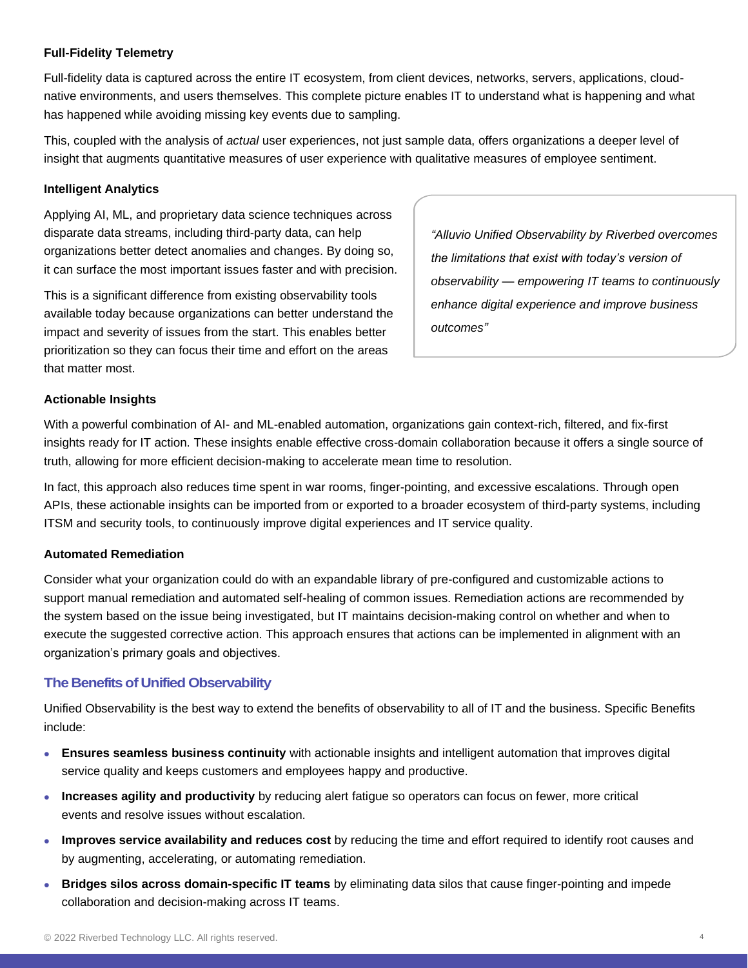#### **Full-Fidelity Telemetry**

Full-fidelity data is captured across the entire IT ecosystem, from client devices, networks, servers, applications, cloudnative environments, and users themselves. This complete picture enables IT to understand what is happening and what has happened while avoiding missing key events due to sampling.

This, coupled with the analysis of *actual* user experiences, not just sample data, offers organizations a deeper level of insight that augments quantitative measures of user experience with qualitative measures of employee sentiment.

#### **Intelligent Analytics**

Applying AI, ML, and proprietary data science techniques across disparate data streams, including third-party data, can help organizations better detect anomalies and changes. By doing so, it can surface the most important issues faster and with precision.

This is a significant difference from existing observability tools available today because organizations can better understand the impact and severity of issues from the start. This enables better prioritization so they can focus their time and effort on the areas that matter most.

*"Alluvio Unified Observability by Riverbed overcomes the limitations that exist with today's version of observability — empowering IT teams to continuously enhance digital experience and improve business outcomes"*

#### **Actionable Insights**

With a powerful combination of AI- and ML-enabled automation, organizations gain context-rich, filtered, and fix-first insights ready for IT action. These insights enable effective cross-domain collaboration because it offers a single source of truth, allowing for more efficient decision-making to accelerate mean time to resolution.

In fact, this approach also reduces time spent in war rooms, finger-pointing, and excessive escalations. Through open APIs, these actionable insights can be imported from or exported to a broader ecosystem of third-party systems, including ITSM and security tools, to continuously improve digital experiences and IT service quality.

#### **Automated Remediation**

Consider what your organization could do with an expandable library of pre-configured and customizable actions to support manual remediation and automated self-healing of common issues. Remediation actions are recommended by the system based on the issue being investigated, but IT maintains decision-making control on whether and when to execute the suggested corrective action. This approach ensures that actions can be implemented in alignment with an organization's primary goals and objectives.

#### **The Benefits of Unified Observability**

Unified Observability is the best way to extend the benefits of observability to all of IT and the business. Specific Benefits include:

- **Ensures seamless business continuity** with actionable insights and intelligent automation that improves digital service quality and keeps customers and employees happy and productive.
- **Increases agility and productivity** by reducing alert fatigue so operators can focus on fewer, more critical events and resolve issues without escalation.
- **Improves service availability and reduces cost** by reducing the time and effort required to identify root causes and by augmenting, accelerating, or automating remediation.
- **Bridges silos across domain-specific IT teams** by eliminating data silos that cause finger-pointing and impede collaboration and decision-making across IT teams.